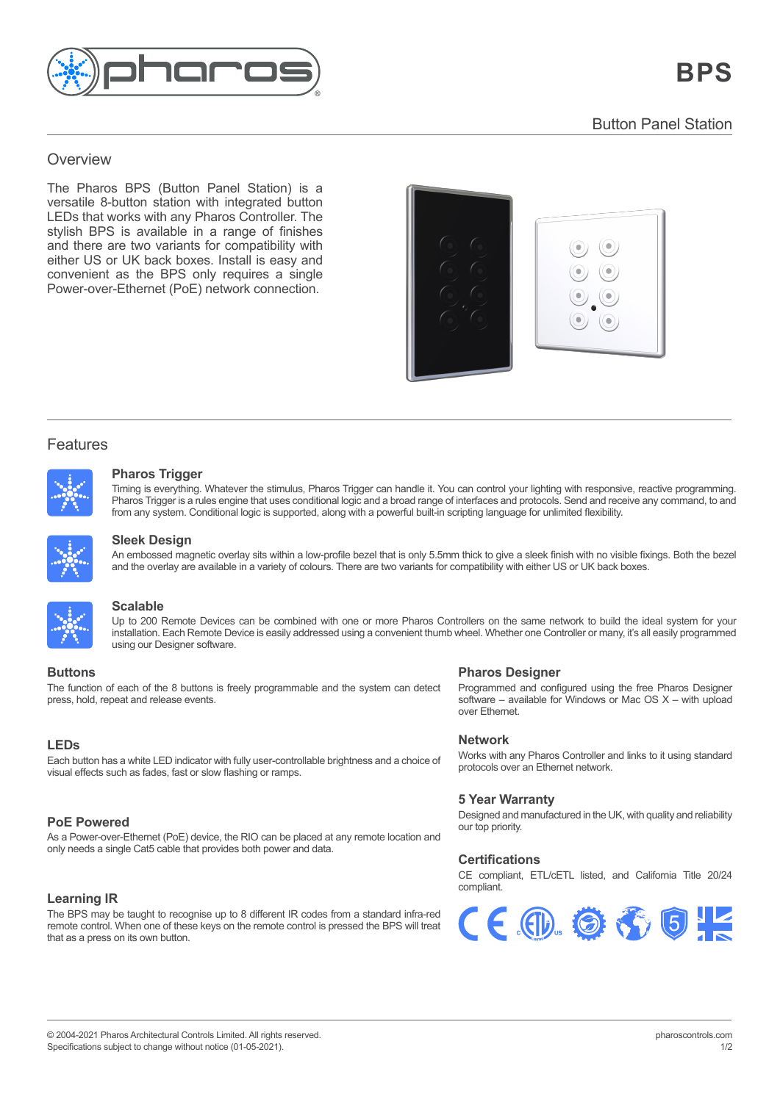

### $T_{\rm eff}$  (Lighting Player) is  $T_{\rm eff}$  in  $P_{\rm eff}$ Overview enterprise control solution for control solution for control solution for control solution for control solution for control solution for control solution for control solution for control solution for control solut

The Pharos BPS (Button Panel Station) is a versatile 8-button station with integrated button LEDs that works with any Pharos Controller. The stylish BPS is available in a range of finishes and there are two variants for compatibility with either US or UK back boxes. Install is easy and convenient as the BPS only requires a single Power-over-Ethernet (PoE) network connection. Power-over-Ethernet (PoE) network connection.



## Features

Features



#### real-time manual overrides, flexible multi-zone control, prioritisation and more. **Pharos Trigger** Timing is everything. Whatever the stimulus, Pharos Trigger can handle it. You can control your lighting with responsive, reactive programming. Pharos Trigger is a rules engine that uses conditional logic and a broad range of interfaces and protocols. Send and receive any command, to

Thring is everyunng. Whatever the surfidius, Friaros Trigger Carl Handle it. Tod Carl Contor your lighting with responsive, reactive programming.<br>Pharos Trigger is a rules engine that uses conditional logic and a broad ran from any system. Conditional logic is supported, along with a powerful built-in scripting language for unlimited flexibility from any system. Conditional logic is supported, along with a powerful built-in scripting language for unlimited flexibility. Timing is everything. Whatever the stimulus, Pharos Trigger can handle it. You can control your lighting with responsive, reactive programming.



#### $\Omega$  be clear because of the support different  $\Omega$  modelling different views of  $\Omega$ **Sleek Design**  $\Gamma$ and the overlay are two variety of colours. The overlay  $\Gamma$

An empossed magn<sub>i</sub><br>and the everle*v* are a and the overlay are available in a variety of colours. There are two variants for compatibility with either US or UK back boxes. An embossed magnetic overlay sits within a low-profile bezel that is only 5.5mm thick to give a sleek finish with no visible fixings. Both the bezel



#### and from any system. Conditional logic is supported, along with a powerful built-in scripting language for unlimited flexibility. **Scalable**

**The function of the seamless can be search of the 8 buttons is freely programmable and the system can detect of the system can detect of the 8 buttons is freely programmable and the system can detect of the system can det** together to work as one via a standard Ethernet network giving impressive scalability. For **Pharmon Buttons** Devices can be combined with the of more intakes controllers on the same network to balla the ideal system for your installation. Each Remote Device is easily addressed using a convenient thumb wheel. Whe Programmed and configured using the free Pharos Designer Up to 200 Remote Devices can be combined with one or more Pharos Controllers on the same network to build the ideal system for your

# $\mathbf{D}$ uther extend to further extend the network.

Whether one Controller or many, it's all easily programmed using our Designer software. The control of the control of the control of the control of the control of the control of the control of the control of the control of press, hold, repeat and release events. The function of each of the 8 buttons is freely programmable and the system can detect of visual effects such as fades, fast or slow flashing or ramps.

#### protocols at the same time. No other system gives you this level of flexibility and control **LEDs**

**Remote Management** ––– <del>。</del><br>Each button has a white LED indicator with fully user-controllable brightness and a choice of visual effects such as fades, fast or slow flashing or ramps.

### **The built-in web server lets you check the Controller's status, the Controller's status, the Controller's status, trigger and outputs, trigger and outputs, trigger and outputs, the controller on its own button.**

timelines, view a full history log and much more. As a Power-over-Ethernet (PoE) device, the RIO can be placed at any remote location and **Custom Interfaces** only needs a single Cat5 cable that provides both power and data.

## **Learning IR**

The BPS may be taught to recognise up to 8 different IR codes from a standard infra-red remote control. When one of these keys on the remote control is pressed the BPS will treat that as a press on its own button.

# **Duttons Pharos Designer**

**Programmed and configured using the free Pharos Designer** software – available for Windows or Mac OS X – with upload  $\alpha$  $\sigma$  left on site. Rugged, compact unit designed for  $24/77$ over Ethernet.

#### **Network**

Works with any Pharos Controller and links to it using standard relief was any that of continuous and line to it doing clanded protocols over an Ethernet network.

#### **5 Year Warranty 5 Year Warranty**

Designed and manufactured in the UK, with quality and reliability<br>our ten priority our top priority.

### **Certifications Certifications**

CE compliant, ETL/cETL listed, and California Title 20/24 CE compliant, ETL/cETL listed, and California Title 20/24 compliant. compliant.